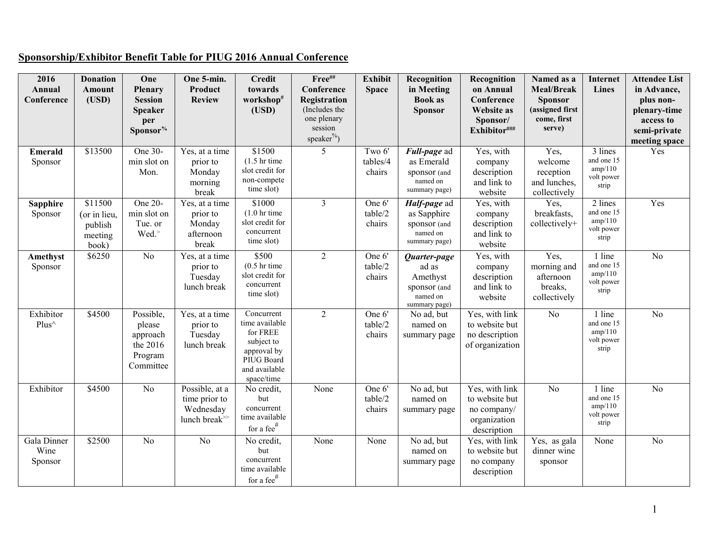## **Sponsorship/Exhibitor Benefit Table for PIUG 2016 Annual Conference**

| 2016<br>Annual<br>Conference   | <b>Donation</b><br>Amount<br>(USD)                     | One<br>Plenary<br><b>Session</b><br><b>Speaker</b><br>per<br>Sponsor <sup>%</sup> | One 5-min.<br>Product<br><b>Review</b>                                          | <b>Credit</b><br>towards<br>workshop#<br>(USD)                                                                     | Free##<br>Conference<br>Registration<br>(Includes the<br>one plenary<br>session<br>speaker <sup>%</sup> ) | Exhibit<br><b>Space</b>      | Recognition<br>in Meeting<br><b>Book as</b><br><b>Sponsor</b>                  | Recognition<br>on Annual<br>Conference<br><b>Website as</b><br>Sponsor/<br>Exhibitor### | Named as a<br><b>Meal/Break</b><br><b>Sponsor</b><br>(assigned first<br>come, first<br>serve) | Internet<br><b>Lines</b>                                | <b>Attendee List</b><br>in Advance,<br>plus non-<br>plenary-time<br>access to<br>semi-private<br>meeting space |
|--------------------------------|--------------------------------------------------------|-----------------------------------------------------------------------------------|---------------------------------------------------------------------------------|--------------------------------------------------------------------------------------------------------------------|-----------------------------------------------------------------------------------------------------------|------------------------------|--------------------------------------------------------------------------------|-----------------------------------------------------------------------------------------|-----------------------------------------------------------------------------------------------|---------------------------------------------------------|----------------------------------------------------------------------------------------------------------------|
| <b>Emerald</b><br>Sponsor      | \$13500                                                | One 30-<br>min slot on<br>Mon.                                                    | Yes, at a time<br>prior to<br>Monday<br>morning<br>break                        | \$1500<br>$(1.5 \text{ hr time})$<br>slot credit for<br>non-compete<br>time slot)                                  | 5                                                                                                         | Two 6'<br>tables/4<br>chairs | Full-page ad<br>as Emerald<br>sponsor (and<br>named on<br>summary page)        | Yes, with<br>company<br>description<br>and link to<br>website                           | Yes,<br>welcome<br>reception<br>and lunches,<br>collectively                                  | 3 lines<br>and one 15<br>amp/110<br>volt power<br>strip | Yes                                                                                                            |
| <b>Sapphire</b><br>Sponsor     | \$11500<br>(or in lieu,<br>publish<br>meeting<br>book) | One 20-<br>min slot on<br>Tue. or<br>Wed.                                         | Yes, at a time<br>prior to<br>Monday<br>afternoon<br>break                      | \$1000<br>$(1.0 \text{ hr time})$<br>slot credit for<br>concurrent<br>time slot)                                   | $\overline{3}$                                                                                            | One 6'<br>table/2<br>chairs  | Half-page ad<br>as Sapphire<br>sponsor (and<br>named on<br>summary page)       | Yes, with<br>company<br>description<br>and link to<br>website                           | Yes,<br>breakfasts,<br>collectively+                                                          | 2 lines<br>and one 15<br>amp/110<br>volt power<br>strip | Yes                                                                                                            |
| Amethyst<br>Sponsor            | \$6250                                                 | $\overline{No}$                                                                   | Yes, at a time<br>prior to<br>Tuesday<br>lunch break                            | \$500<br>$(0.5 \text{ hr time})$<br>slot credit for<br>concurrent<br>time slot)                                    | $\overline{2}$                                                                                            | One 6'<br>table/2<br>chairs  | Quarter-page<br>ad as<br>Amethyst<br>sponsor (and<br>named on<br>summary page) | Yes, with<br>company<br>description<br>and link to<br>website                           | Yes,<br>morning and<br>afternoon<br>breaks,<br>collectively                                   | 1 line<br>and one 15<br>amp/110<br>volt power<br>strip  | $\overline{No}$                                                                                                |
| Exhibitor<br>Plus^             | \$4500                                                 | Possible,<br>please<br>approach<br>the 2016<br>Program<br>Committee               | Yes, at a time<br>prior to<br>Tuesday<br>lunch break                            | Concurrent<br>time available<br>for FREE<br>subject to<br>approval by<br>PIUG Board<br>and available<br>space/time | $\overline{2}$                                                                                            | One 6'<br>table/2<br>chairs  | No ad, but<br>named on<br>summary page                                         | Yes, with link<br>to website but<br>no description<br>of organization                   | $\overline{No}$                                                                               | 1 line<br>and one 15<br>amp/110<br>volt power<br>strip  | $\overline{No}$                                                                                                |
| Exhibitor                      | \$4500                                                 | No                                                                                | Possible, at a<br>time prior to<br>Wednesday<br>lunch break <sup>&gt;&gt;</sup> | No credit,<br>but<br>concurrent<br>time available<br>for a fee $#$                                                 | None                                                                                                      | One 6'<br>table/2<br>chairs  | No ad, but<br>named on<br>summary page                                         | Yes, with link<br>to website but<br>no company/<br>organization<br>description          | $\overline{No}$                                                                               | 1 line<br>and one 15<br>amp/110<br>volt power<br>strip  | $\overline{No}$                                                                                                |
| Gala Dinner<br>Wine<br>Sponsor | \$2500                                                 | $\overline{No}$                                                                   | $\overline{No}$                                                                 | No credit,<br>but<br>concurrent<br>time available<br>for a fee $\#$                                                | None                                                                                                      | None                         | No ad, but<br>named on<br>summary page                                         | Yes, with link<br>to website but<br>no company<br>description                           | Yes, as gala<br>dinner wine<br>sponsor                                                        | None                                                    | $\overline{No}$                                                                                                |